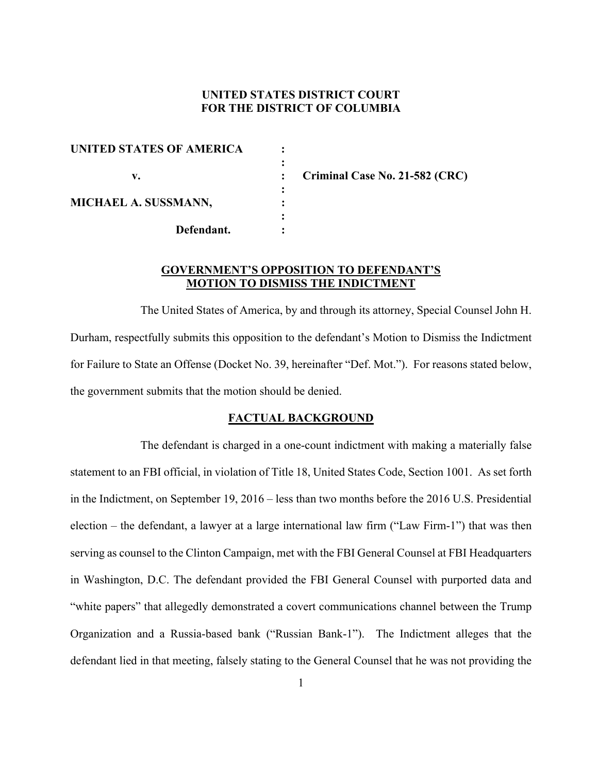## **UNITED STATES DISTRICT COURT FOR THE DISTRICT OF COLUMBIA**

| <b>UNITED STATES OF AMERICA</b> |  |
|---------------------------------|--|
|                                 |  |
| v.                              |  |
| MICHAEL A. SUSSMANN,            |  |
|                                 |  |
|                                 |  |
| Defendant.                      |  |

**Criminal Case No. 21-582 (CRC)** 

# **GOVERNMENT'S OPPOSITION TO DEFENDANT'S MOTION TO DISMISS THE INDICTMENT**

The United States of America, by and through its attorney, Special Counsel John H. Durham, respectfully submits this opposition to the defendant's Motion to Dismiss the Indictment for Failure to State an Offense (Docket No. 39, hereinafter "Def. Mot."). For reasons stated below, the government submits that the motion should be denied.

#### **FACTUAL BACKGROUND**

The defendant is charged in a one-count indictment with making a materially false statement to an FBI official, in violation of Title 18, United States Code, Section 1001. As set forth in the Indictment, on September 19, 2016 – less than two months before the 2016 U.S. Presidential election – the defendant, a lawyer at a large international law firm ("Law Firm-1") that was then serving as counsel to the Clinton Campaign, met with the FBI General Counsel at FBI Headquarters in Washington, D.C. The defendant provided the FBI General Counsel with purported data and "white papers" that allegedly demonstrated a covert communications channel between the Trump Organization and a Russia-based bank ("Russian Bank-1"). The Indictment alleges that the defendant lied in that meeting, falsely stating to the General Counsel that he was not providing the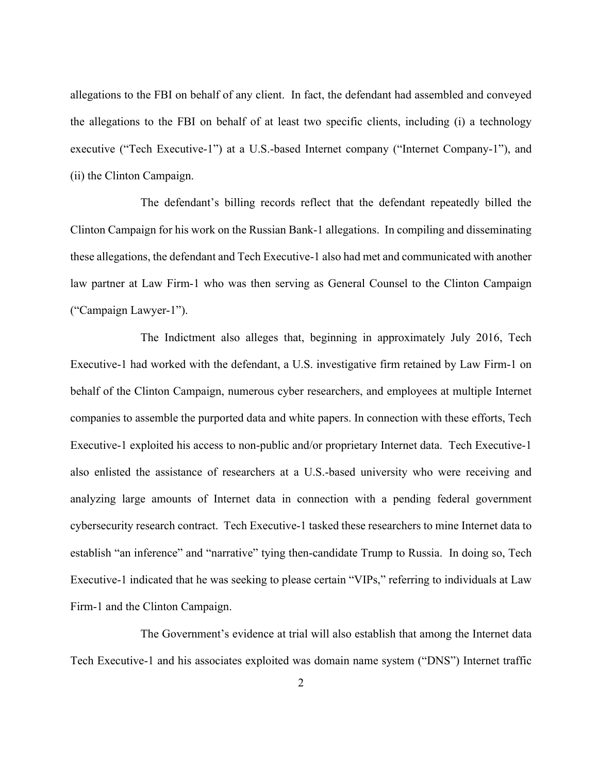allegations to the FBI on behalf of any client. In fact, the defendant had assembled and conveyed the allegations to the FBI on behalf of at least two specific clients, including (i) a technology executive ("Tech Executive-1") at a U.S.-based Internet company ("Internet Company-1"), and (ii) the Clinton Campaign.

The defendant's billing records reflect that the defendant repeatedly billed the Clinton Campaign for his work on the Russian Bank-1 allegations. In compiling and disseminating these allegations, the defendant and Tech Executive-1 also had met and communicated with another law partner at Law Firm-1 who was then serving as General Counsel to the Clinton Campaign ("Campaign Lawyer-1").

The Indictment also alleges that, beginning in approximately July 2016, Tech Executive-1 had worked with the defendant, a U.S. investigative firm retained by Law Firm-1 on behalf of the Clinton Campaign, numerous cyber researchers, and employees at multiple Internet companies to assemble the purported data and white papers. In connection with these efforts, Tech Executive-1 exploited his access to non-public and/or proprietary Internet data. Tech Executive-1 also enlisted the assistance of researchers at a U.S.-based university who were receiving and analyzing large amounts of Internet data in connection with a pending federal government cybersecurity research contract. Tech Executive-1 tasked these researchers to mine Internet data to establish "an inference" and "narrative" tying then-candidate Trump to Russia. In doing so, Tech Executive-1 indicated that he was seeking to please certain "VIPs," referring to individuals at Law Firm-1 and the Clinton Campaign.

The Government's evidence at trial will also establish that among the Internet data Tech Executive-1 and his associates exploited was domain name system ("DNS") Internet traffic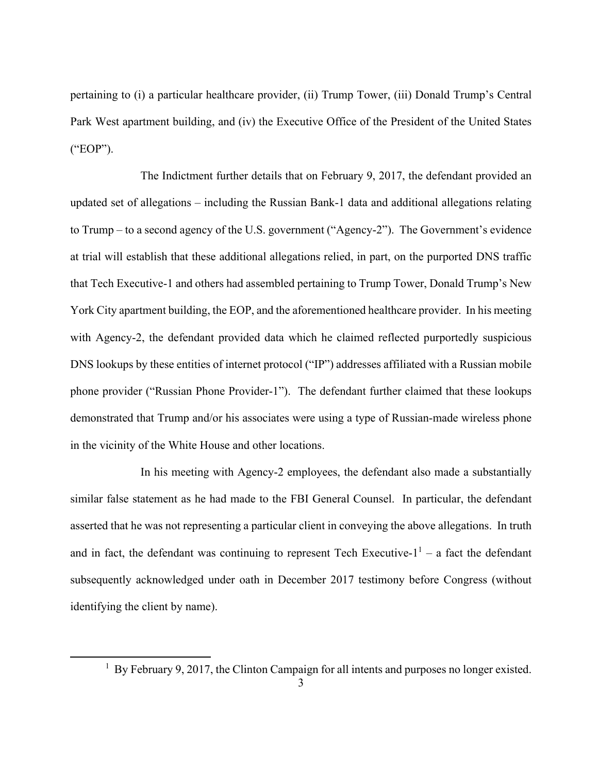pertaining to (i) a particular healthcare provider, (ii) Trump Tower, (iii) Donald Trump's Central Park West apartment building, and (iv) the Executive Office of the President of the United States ("EOP").

The Indictment further details that on February 9, 2017, the defendant provided an updated set of allegations – including the Russian Bank-1 data and additional allegations relating to Trump – to a second agency of the U.S. government ("Agency-2"). The Government's evidence at trial will establish that these additional allegations relied, in part, on the purported DNS traffic that Tech Executive-1 and others had assembled pertaining to Trump Tower, Donald Trump's New York City apartment building, the EOP, and the aforementioned healthcare provider. In his meeting with Agency-2, the defendant provided data which he claimed reflected purportedly suspicious DNS lookups by these entities of internet protocol ("IP") addresses affiliated with a Russian mobile phone provider ("Russian Phone Provider-1"). The defendant further claimed that these lookups demonstrated that Trump and/or his associates were using a type of Russian-made wireless phone in the vicinity of the White House and other locations.

In his meeting with Agency-2 employees, the defendant also made a substantially similar false statement as he had made to the FBI General Counsel. In particular, the defendant asserted that he was not representing a particular client in conveying the above allegations. In truth and in fact, the defendant was continuing to represent Tech Executive- $1<sup>1</sup>$  – a fact the defendant subsequently acknowledged under oath in December 2017 testimony before Congress (without identifying the client by name).

<sup>&</sup>lt;sup>1</sup> By February 9, 2017, the Clinton Campaign for all intents and purposes no longer existed.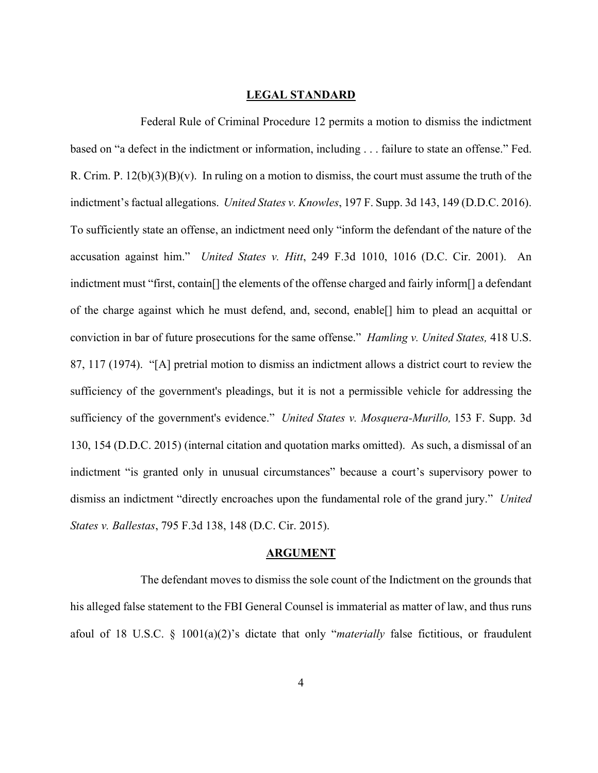#### **LEGAL STANDARD**

Federal Rule of Criminal Procedure 12 permits a motion to dismiss the indictment based on "a defect in the indictment or information, including . . . failure to state an offense." Fed. R. Crim. P.  $12(b)(3)(B)(v)$ . In ruling on a motion to dismiss, the court must assume the truth of the indictment's factual allegations. *United States v. Knowles*, 197 F. Supp. 3d 143, 149 (D.D.C. 2016). To sufficiently state an offense, an indictment need only "inform the defendant of the nature of the accusation against him." *United States v. Hitt*, 249 F.3d 1010, 1016 (D.C. Cir. 2001). An indictment must "first, contain[] the elements of the offense charged and fairly inform[] a defendant of the charge against which he must defend, and, second, enable[] him to plead an acquittal or conviction in bar of future prosecutions for the same offense." *Hamling v. United States,* 418 U.S. 87, 117 (1974). "[A] pretrial motion to dismiss an indictment allows a district court to review the sufficiency of the government's pleadings, but it is not a permissible vehicle for addressing the sufficiency of the government's evidence." *United States v. Mosquera-Murillo,* 153 F. Supp. 3d 130, 154 (D.D.C. 2015) (internal citation and quotation marks omitted). As such, a dismissal of an indictment "is granted only in unusual circumstances" because a court's supervisory power to dismiss an indictment "directly encroaches upon the fundamental role of the grand jury." *United States v. Ballestas*, 795 F.3d 138, 148 (D.C. Cir. 2015).

### **ARGUMENT**

The defendant moves to dismiss the sole count of the Indictment on the grounds that his alleged false statement to the FBI General Counsel is immaterial as matter of law, and thus runs afoul of 18 U.S.C. § 1001(a)(2)'s dictate that only "*materially* false fictitious, or fraudulent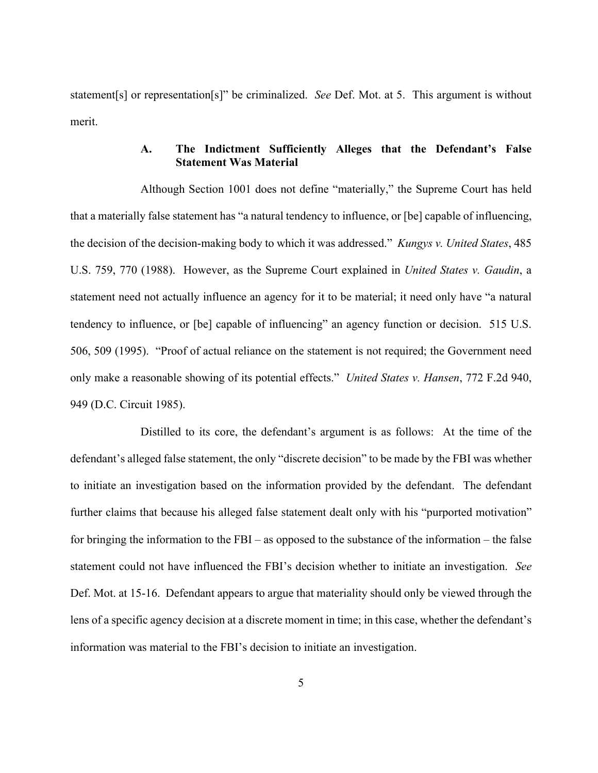statement[s] or representation[s]" be criminalized. *See* Def. Mot. at 5. This argument is without merit.

# **A. The Indictment Sufficiently Alleges that the Defendant's False Statement Was Material**

Although Section 1001 does not define "materially," the Supreme Court has held that a materially false statement has "a natural tendency to influence, or [be] capable of influencing, the decision of the decision-making body to which it was addressed." *Kungys v. United States*, 485 U.S. 759, 770 (1988). However, as the Supreme Court explained in *United States v. Gaudin*, a statement need not actually influence an agency for it to be material; it need only have "a natural tendency to influence, or [be] capable of influencing" an agency function or decision. 515 U.S. 506, 509 (1995). "Proof of actual reliance on the statement is not required; the Government need only make a reasonable showing of its potential effects." *United States v. Hansen*, 772 F.2d 940, 949 (D.C. Circuit 1985).

Distilled to its core, the defendant's argument is as follows: At the time of the defendant's alleged false statement, the only "discrete decision" to be made by the FBI was whether to initiate an investigation based on the information provided by the defendant. The defendant further claims that because his alleged false statement dealt only with his "purported motivation" for bringing the information to the FBI – as opposed to the substance of the information – the false statement could not have influenced the FBI's decision whether to initiate an investigation. *See* Def. Mot. at 15-16. Defendant appears to argue that materiality should only be viewed through the lens of a specific agency decision at a discrete moment in time; in this case, whether the defendant's information was material to the FBI's decision to initiate an investigation.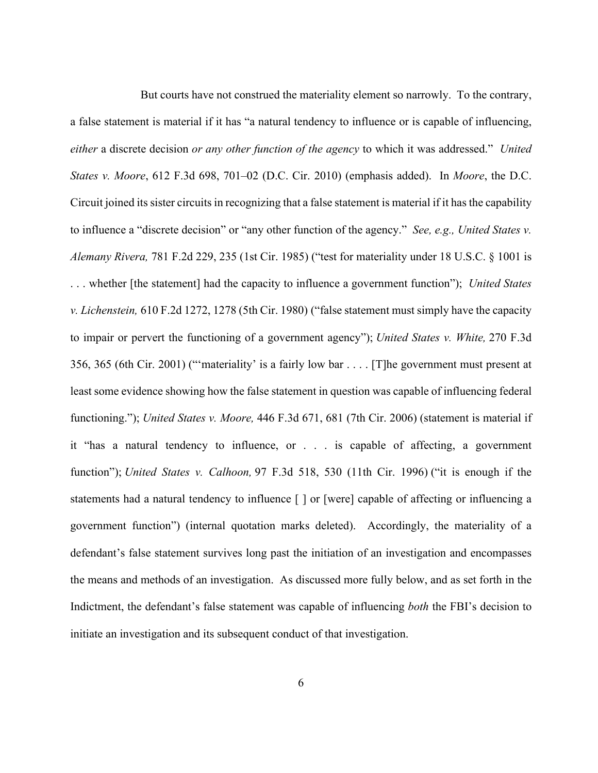But courts have not construed the materiality element so narrowly. To the contrary, a false statement is material if it has "a natural tendency to influence or is capable of influencing, *either* a discrete decision *or any other function of the agency* to which it was addressed." *United States v. Moore*, 612 F.3d 698, 701–02 (D.C. Cir. 2010) (emphasis added). In *Moore*, the D.C. Circuit joined its sister circuits in recognizing that a false statement is material if it has the capability to influence a "discrete decision" or "any other function of the agency." *See, e.g., United States v. Alemany Rivera,* 781 F.2d 229, 235 (1st Cir. 1985) ("test for materiality under 18 U.S.C. § 1001 is . . . whether [the statement] had the capacity to influence a government function"); *United States v. Lichenstein,* 610 F.2d 1272, 1278 (5th Cir. 1980) ("false statement must simply have the capacity to impair or pervert the functioning of a government agency"); *United States v. White,* 270 F.3d 356, 365 (6th Cir. 2001) ("'materiality' is a fairly low bar . . . . [T]he government must present at least some evidence showing how the false statement in question was capable of influencing federal functioning."); *United States v. Moore,* 446 F.3d 671, 681 (7th Cir. 2006) (statement is material if it "has a natural tendency to influence, or . . . is capable of affecting, a government function"); *United States v. Calhoon,* 97 F.3d 518, 530 (11th Cir. 1996) ("it is enough if the statements had a natural tendency to influence [ ] or [were] capable of affecting or influencing a government function") (internal quotation marks deleted). Accordingly, the materiality of a defendant's false statement survives long past the initiation of an investigation and encompasses the means and methods of an investigation. As discussed more fully below, and as set forth in the Indictment, the defendant's false statement was capable of influencing *both* the FBI's decision to initiate an investigation and its subsequent conduct of that investigation.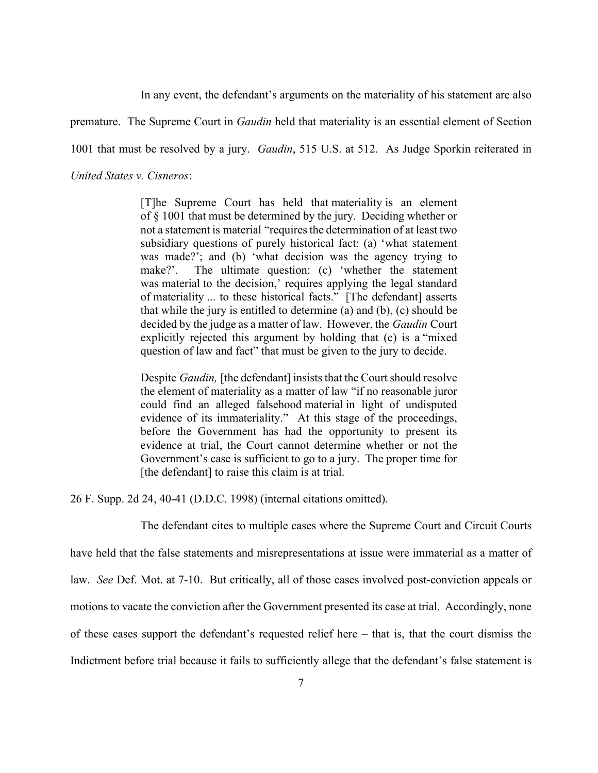In any event, the defendant's arguments on the materiality of his statement are also

premature. The Supreme Court in *Gaudin* held that materiality is an essential element of Section

1001 that must be resolved by a jury. *Gaudin*, 515 U.S. at 512. As Judge Sporkin reiterated in

*United States v. Cisneros*:

[T]he Supreme Court has held that materiality is an element of § 1001 that must be determined by the jury. Deciding whether or not a statement is material "requires the determination of at least two subsidiary questions of purely historical fact: (a) 'what statement was made?'; and (b) 'what decision was the agency trying to make?'. The ultimate question: (c) 'whether the statement was material to the decision,' requires applying the legal standard of materiality ... to these historical facts." [The defendant] asserts that while the jury is entitled to determine (a) and (b), (c) should be decided by the judge as a matter of law. However, the *Gaudin* Court explicitly rejected this argument by holding that (c) is a "mixed question of law and fact" that must be given to the jury to decide.

Despite *Gaudin,* [the defendant] insists that the Court should resolve the element of materiality as a matter of law "if no reasonable juror could find an alleged falsehood material in light of undisputed evidence of its immateriality." At this stage of the proceedings, before the Government has had the opportunity to present its evidence at trial, the Court cannot determine whether or not the Government's case is sufficient to go to a jury. The proper time for [the defendant] to raise this claim is at trial.

26 F. Supp. 2d 24, 40-41 (D.D.C. 1998) (internal citations omitted).

The defendant cites to multiple cases where the Supreme Court and Circuit Courts have held that the false statements and misrepresentations at issue were immaterial as a matter of law. *See* Def. Mot. at 7-10. But critically, all of those cases involved post-conviction appeals or motions to vacate the conviction after the Government presented its case at trial. Accordingly, none of these cases support the defendant's requested relief here – that is, that the court dismiss the Indictment before trial because it fails to sufficiently allege that the defendant's false statement is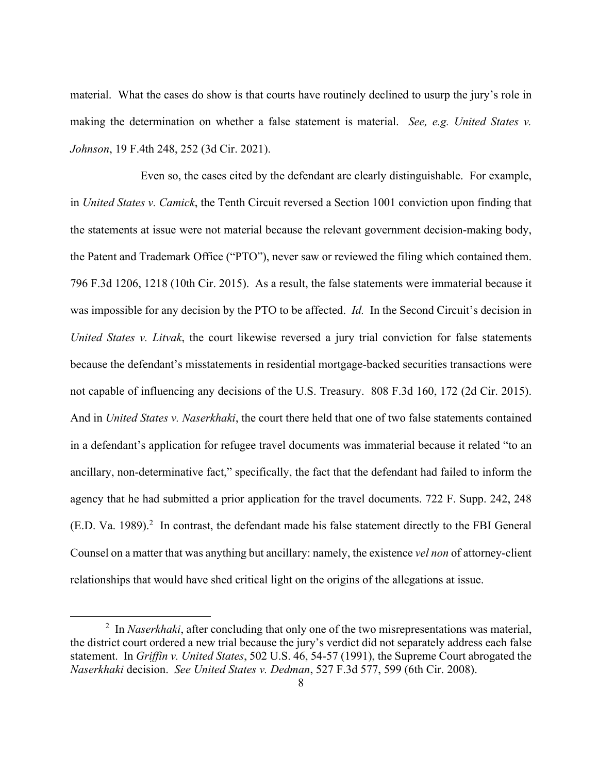material. What the cases do show is that courts have routinely declined to usurp the jury's role in making the determination on whether a false statement is material. *See, e.g. United States v. Johnson*, 19 F.4th 248, 252 (3d Cir. 2021).

Even so, the cases cited by the defendant are clearly distinguishable. For example, in *United States v. Camick*, the Tenth Circuit reversed a Section 1001 conviction upon finding that the statements at issue were not material because the relevant government decision-making body, the Patent and Trademark Office ("PTO"), never saw or reviewed the filing which contained them. 796 F.3d 1206, 1218 (10th Cir. 2015). As a result, the false statements were immaterial because it was impossible for any decision by the PTO to be affected. *Id.* In the Second Circuit's decision in *United States v. Litvak*, the court likewise reversed a jury trial conviction for false statements because the defendant's misstatements in residential mortgage-backed securities transactions were not capable of influencing any decisions of the U.S. Treasury. 808 F.3d 160, 172 (2d Cir. 2015). And in *United States v. Naserkhaki*, the court there held that one of two false statements contained in a defendant's application for refugee travel documents was immaterial because it related "to an ancillary, non-determinative fact," specifically, the fact that the defendant had failed to inform the agency that he had submitted a prior application for the travel documents. 722 F. Supp. 242, 248  $(E.D. Va. 1989).$ <sup>2</sup> In contrast, the defendant made his false statement directly to the FBI General Counsel on a matter that was anything but ancillary: namely, the existence *vel non* of attorney-client relationships that would have shed critical light on the origins of the allegations at issue.

<sup>&</sup>lt;sup>2</sup> In *Naserkhaki*, after concluding that only one of the two misrepresentations was material, the district court ordered a new trial because the jury's verdict did not separately address each false statement. In *Griffin v. United States*, 502 U.S. 46, 54-57 (1991), the Supreme Court abrogated the *Naserkhaki* decision. *See United States v. Dedman*, 527 F.3d 577, 599 (6th Cir. 2008).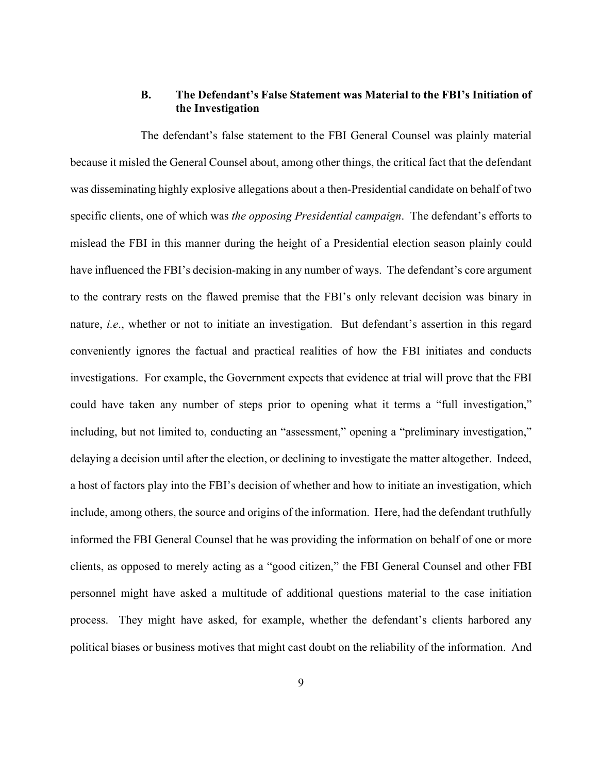## **B. The Defendant's False Statement was Material to the FBI's Initiation of the Investigation**

The defendant's false statement to the FBI General Counsel was plainly material because it misled the General Counsel about, among other things, the critical fact that the defendant was disseminating highly explosive allegations about a then-Presidential candidate on behalf of two specific clients, one of which was *the opposing Presidential campaign*. The defendant's efforts to mislead the FBI in this manner during the height of a Presidential election season plainly could have influenced the FBI's decision-making in any number of ways. The defendant's core argument to the contrary rests on the flawed premise that the FBI's only relevant decision was binary in nature, *i.e*., whether or not to initiate an investigation. But defendant's assertion in this regard conveniently ignores the factual and practical realities of how the FBI initiates and conducts investigations. For example, the Government expects that evidence at trial will prove that the FBI could have taken any number of steps prior to opening what it terms a "full investigation," including, but not limited to, conducting an "assessment," opening a "preliminary investigation," delaying a decision until after the election, or declining to investigate the matter altogether. Indeed, a host of factors play into the FBI's decision of whether and how to initiate an investigation, which include, among others, the source and origins of the information. Here, had the defendant truthfully informed the FBI General Counsel that he was providing the information on behalf of one or more clients, as opposed to merely acting as a "good citizen," the FBI General Counsel and other FBI personnel might have asked a multitude of additional questions material to the case initiation process. They might have asked, for example, whether the defendant's clients harbored any political biases or business motives that might cast doubt on the reliability of the information. And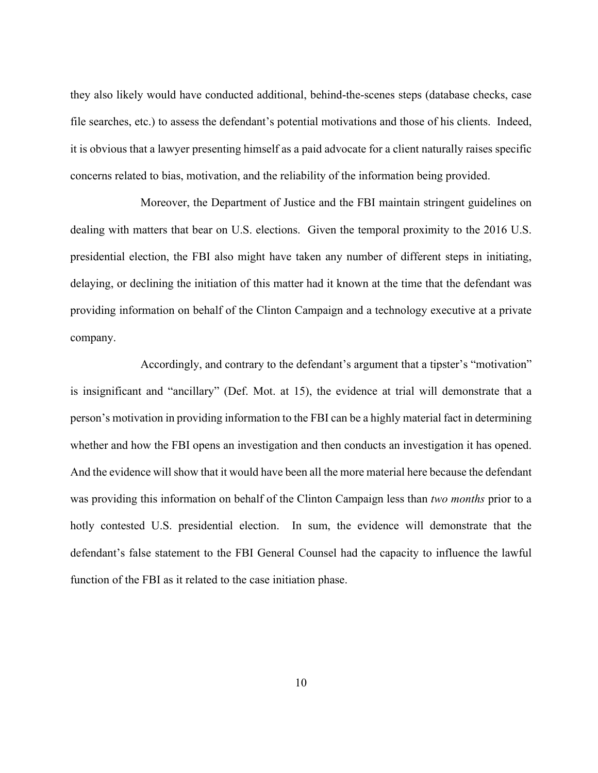they also likely would have conducted additional, behind-the-scenes steps (database checks, case file searches, etc.) to assess the defendant's potential motivations and those of his clients. Indeed, it is obvious that a lawyer presenting himself as a paid advocate for a client naturally raises specific concerns related to bias, motivation, and the reliability of the information being provided.

Moreover, the Department of Justice and the FBI maintain stringent guidelines on dealing with matters that bear on U.S. elections. Given the temporal proximity to the 2016 U.S. presidential election, the FBI also might have taken any number of different steps in initiating, delaying, or declining the initiation of this matter had it known at the time that the defendant was providing information on behalf of the Clinton Campaign and a technology executive at a private company.

Accordingly, and contrary to the defendant's argument that a tipster's "motivation" is insignificant and "ancillary" (Def. Mot. at 15), the evidence at trial will demonstrate that a person's motivation in providing information to the FBI can be a highly material fact in determining whether and how the FBI opens an investigation and then conducts an investigation it has opened. And the evidence will show that it would have been all the more material here because the defendant was providing this information on behalf of the Clinton Campaign less than *two months* prior to a hotly contested U.S. presidential election. In sum, the evidence will demonstrate that the defendant's false statement to the FBI General Counsel had the capacity to influence the lawful function of the FBI as it related to the case initiation phase.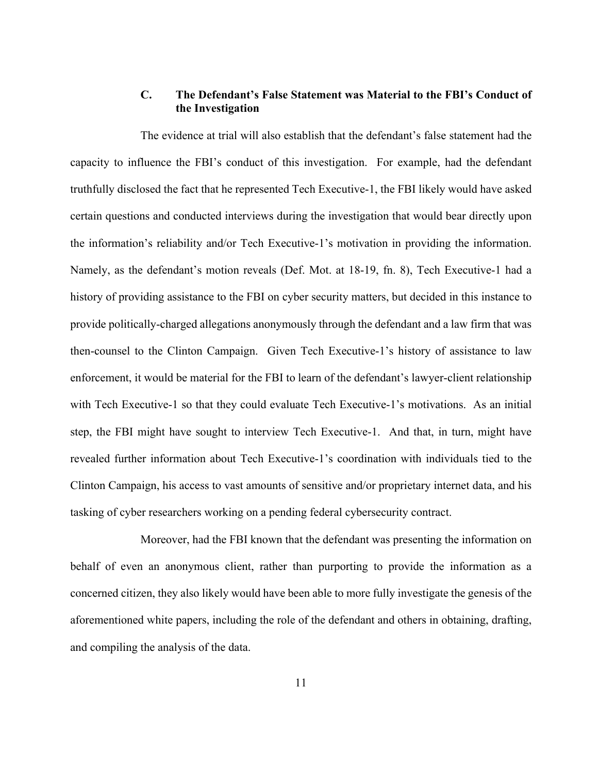## **C. The Defendant's False Statement was Material to the FBI's Conduct of the Investigation**

The evidence at trial will also establish that the defendant's false statement had the capacity to influence the FBI's conduct of this investigation. For example, had the defendant truthfully disclosed the fact that he represented Tech Executive-1, the FBI likely would have asked certain questions and conducted interviews during the investigation that would bear directly upon the information's reliability and/or Tech Executive-1's motivation in providing the information. Namely, as the defendant's motion reveals (Def. Mot. at 18-19, fn. 8), Tech Executive-1 had a history of providing assistance to the FBI on cyber security matters, but decided in this instance to provide politically-charged allegations anonymously through the defendant and a law firm that was then-counsel to the Clinton Campaign. Given Tech Executive-1's history of assistance to law enforcement, it would be material for the FBI to learn of the defendant's lawyer-client relationship with Tech Executive-1 so that they could evaluate Tech Executive-1's motivations. As an initial step, the FBI might have sought to interview Tech Executive-1. And that, in turn, might have revealed further information about Tech Executive-1's coordination with individuals tied to the Clinton Campaign, his access to vast amounts of sensitive and/or proprietary internet data, and his tasking of cyber researchers working on a pending federal cybersecurity contract.

Moreover, had the FBI known that the defendant was presenting the information on behalf of even an anonymous client, rather than purporting to provide the information as a concerned citizen, they also likely would have been able to more fully investigate the genesis of the aforementioned white papers, including the role of the defendant and others in obtaining, drafting, and compiling the analysis of the data.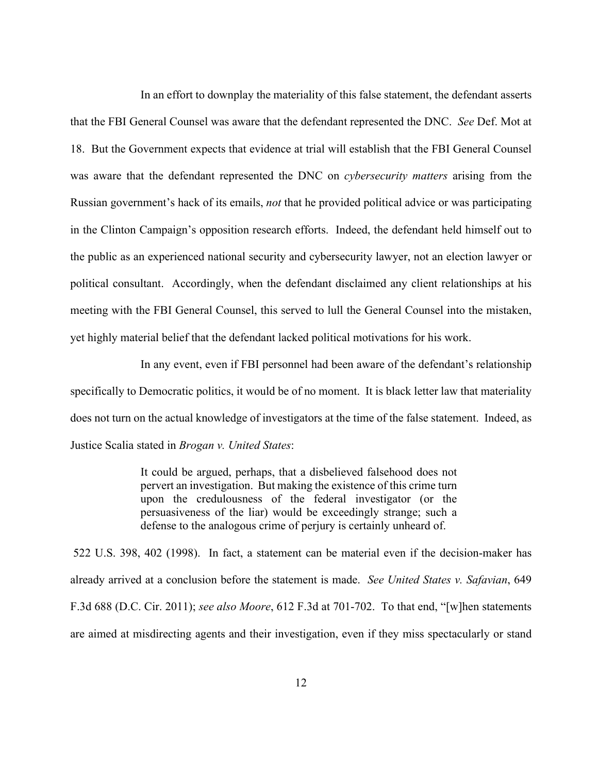In an effort to downplay the materiality of this false statement, the defendant asserts that the FBI General Counsel was aware that the defendant represented the DNC. *See* Def. Mot at 18. But the Government expects that evidence at trial will establish that the FBI General Counsel was aware that the defendant represented the DNC on *cybersecurity matters* arising from the Russian government's hack of its emails, *not* that he provided political advice or was participating in the Clinton Campaign's opposition research efforts. Indeed, the defendant held himself out to the public as an experienced national security and cybersecurity lawyer, not an election lawyer or political consultant. Accordingly, when the defendant disclaimed any client relationships at his meeting with the FBI General Counsel, this served to lull the General Counsel into the mistaken, yet highly material belief that the defendant lacked political motivations for his work.

In any event, even if FBI personnel had been aware of the defendant's relationship specifically to Democratic politics, it would be of no moment. It is black letter law that materiality does not turn on the actual knowledge of investigators at the time of the false statement. Indeed, as Justice Scalia stated in *Brogan v. United States*:

> It could be argued, perhaps, that a disbelieved falsehood does not pervert an investigation. But making the existence of this crime turn upon the credulousness of the federal investigator (or the persuasiveness of the liar) would be exceedingly strange; such a defense to the analogous crime of perjury is certainly unheard of.

522 U.S. 398, 402 (1998). In fact, a statement can be material even if the decision-maker has already arrived at a conclusion before the statement is made. *See United States v. Safavian*, 649 F.3d 688 (D.C. Cir. 2011); *see also Moore*, 612 F.3d at 701-702. To that end, "[w]hen statements are aimed at misdirecting agents and their investigation, even if they miss spectacularly or stand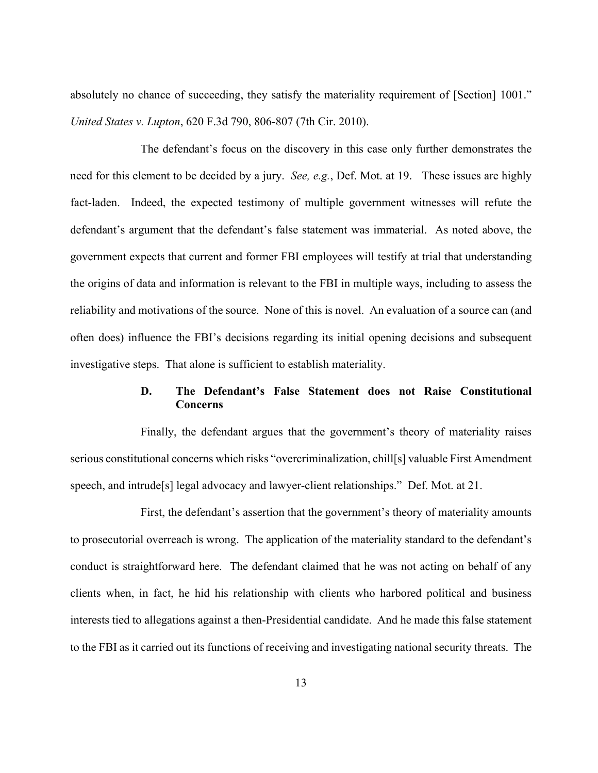absolutely no chance of succeeding, they satisfy the materiality requirement of [Section] 1001." *United States v. Lupton*, 620 F.3d 790, 806-807 (7th Cir. 2010).

The defendant's focus on the discovery in this case only further demonstrates the need for this element to be decided by a jury. *See, e.g.*, Def. Mot. at 19. These issues are highly fact-laden. Indeed, the expected testimony of multiple government witnesses will refute the defendant's argument that the defendant's false statement was immaterial. As noted above, the government expects that current and former FBI employees will testify at trial that understanding the origins of data and information is relevant to the FBI in multiple ways, including to assess the reliability and motivations of the source. None of this is novel. An evaluation of a source can (and often does) influence the FBI's decisions regarding its initial opening decisions and subsequent investigative steps. That alone is sufficient to establish materiality.

# **D. The Defendant's False Statement does not Raise Constitutional Concerns**

Finally, the defendant argues that the government's theory of materiality raises serious constitutional concerns which risks "overcriminalization, chill[s] valuable First Amendment speech, and intrude[s] legal advocacy and lawyer-client relationships." Def. Mot. at 21.

First, the defendant's assertion that the government's theory of materiality amounts to prosecutorial overreach is wrong. The application of the materiality standard to the defendant's conduct is straightforward here. The defendant claimed that he was not acting on behalf of any clients when, in fact, he hid his relationship with clients who harbored political and business interests tied to allegations against a then-Presidential candidate. And he made this false statement to the FBI as it carried out its functions of receiving and investigating national security threats. The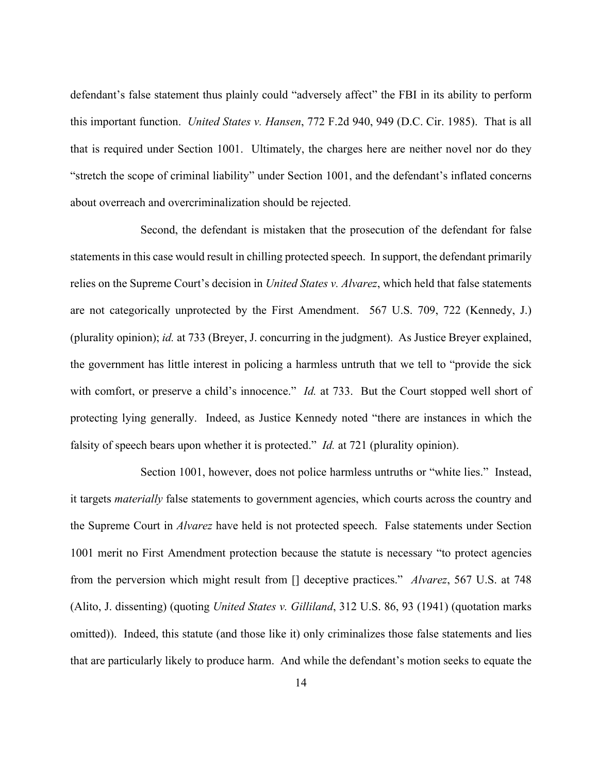defendant's false statement thus plainly could "adversely affect" the FBI in its ability to perform this important function. *United States v. Hansen*, 772 F.2d 940, 949 (D.C. Cir. 1985). That is all that is required under Section 1001. Ultimately, the charges here are neither novel nor do they "stretch the scope of criminal liability" under Section 1001, and the defendant's inflated concerns about overreach and overcriminalization should be rejected.

Second, the defendant is mistaken that the prosecution of the defendant for false statements in this case would result in chilling protected speech. In support, the defendant primarily relies on the Supreme Court's decision in *United States v. Alvarez*, which held that false statements are not categorically unprotected by the First Amendment. 567 U.S. 709, 722 (Kennedy, J.) (plurality opinion); *id.* at 733 (Breyer, J. concurring in the judgment). As Justice Breyer explained, the government has little interest in policing a harmless untruth that we tell to "provide the sick with comfort, or preserve a child's innocence." *Id.* at 733. But the Court stopped well short of protecting lying generally. Indeed, as Justice Kennedy noted "there are instances in which the falsity of speech bears upon whether it is protected." *Id.* at 721 (plurality opinion).

Section 1001, however, does not police harmless untruths or "white lies." Instead, it targets *materially* false statements to government agencies, which courts across the country and the Supreme Court in *Alvarez* have held is not protected speech. False statements under Section 1001 merit no First Amendment protection because the statute is necessary "to protect agencies from the perversion which might result from [] deceptive practices." *Alvarez*, 567 U.S. at 748 (Alito, J. dissenting) (quoting *United States v. Gilliland*, 312 U.S. 86, 93 (1941) (quotation marks omitted)). Indeed, this statute (and those like it) only criminalizes those false statements and lies that are particularly likely to produce harm. And while the defendant's motion seeks to equate the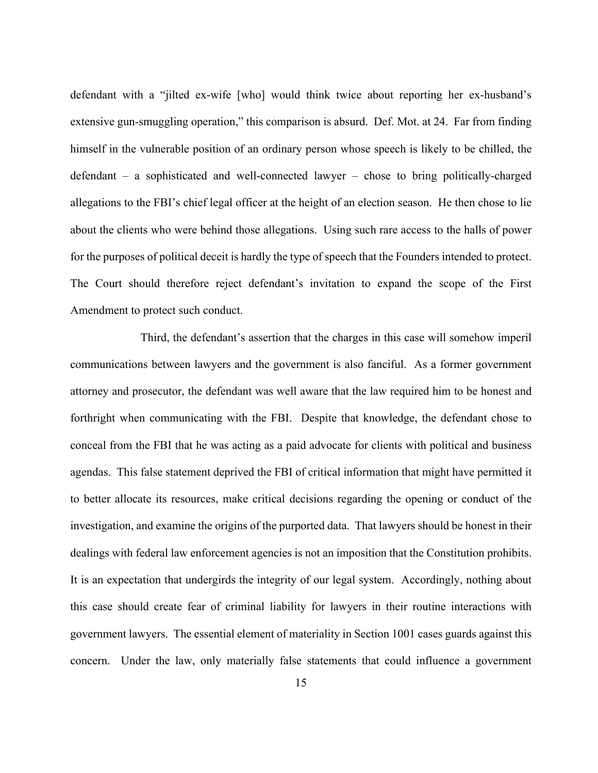defendant with a "jilted ex-wife [who] would think twice about reporting her ex-husband's extensive gun-smuggling operation," this comparison is absurd. Def. Mot. at 24. Far from finding himself in the vulnerable position of an ordinary person whose speech is likely to be chilled, the defendant – a sophisticated and well-connected lawyer – chose to bring politically-charged allegations to the FBI's chief legal officer at the height of an election season. He then chose to lie about the clients who were behind those allegations. Using such rare access to the halls of power for the purposes of political deceit is hardly the type of speech that the Founders intended to protect. The Court should therefore reject defendant's invitation to expand the scope of the First Amendment to protect such conduct.

Third, the defendant's assertion that the charges in this case will somehow imperil communications between lawyers and the government is also fanciful. As a former government attorney and prosecutor, the defendant was well aware that the law required him to be honest and forthright when communicating with the FBI. Despite that knowledge, the defendant chose to conceal from the FBI that he was acting as a paid advocate for clients with political and business agendas. This false statement deprived the FBI of critical information that might have permitted it to better allocate its resources, make critical decisions regarding the opening or conduct of the investigation, and examine the origins of the purported data. That lawyers should be honest in their dealings with federal law enforcement agencies is not an imposition that the Constitution prohibits. It is an expectation that undergirds the integrity of our legal system. Accordingly, nothing about this case should create fear of criminal liability for lawyers in their routine interactions with government lawyers. The essential element of materiality in Section 1001 cases guards against this concern. Under the law, only materially false statements that could influence a government